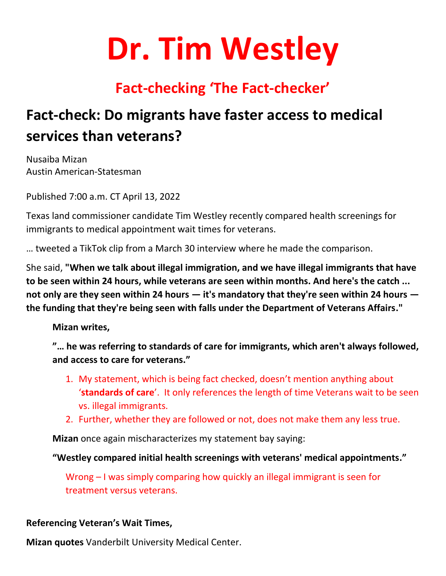# **Dr. Tim Westley**

## **Fact-checking 'The Fact-checker'**

# **Fact-check: Do migrants have faster access to medical services than veterans?**

Nusaiba Mizan Austin American-Statesman

Published 7:00 a.m. CT April 13, 2022

Texas land commissioner candidate Tim Westley recently compared health screenings for immigrants to medical appointment wait times for veterans.

… tweeted a TikTok clip from a March 30 interview where he made the comparison.

She said, **"When we talk about illegal immigration, and we have illegal immigrants that have to be seen within 24 hours, while veterans are seen within months. And here's the catch ... not only are they seen within 24 hours — it's mandatory that they're seen within 24 hours the funding that they're being seen with falls under the Department of Veterans Affairs."**

**Mizan writes,** 

**"… he was referring to standards of care for immigrants, which aren't always followed, and access to care for veterans."**

- 1. My statement, which is being fact checked, doesn't mention anything about '**standards of care**'. It only references the length of time Veterans wait to be seen vs. illegal immigrants.
- 2. Further, whether they are followed or not, does not make them any less true.

**Mizan** once again mischaracterizes my statement bay saying:

**"Westley compared initial health screenings with veterans' medical appointments."**

Wrong – I was simply comparing how quickly an illegal immigrant is seen for treatment versus veterans.

#### **Referencing Veteran's Wait Times,**

**Mizan quotes** Vanderbilt University Medical Center.